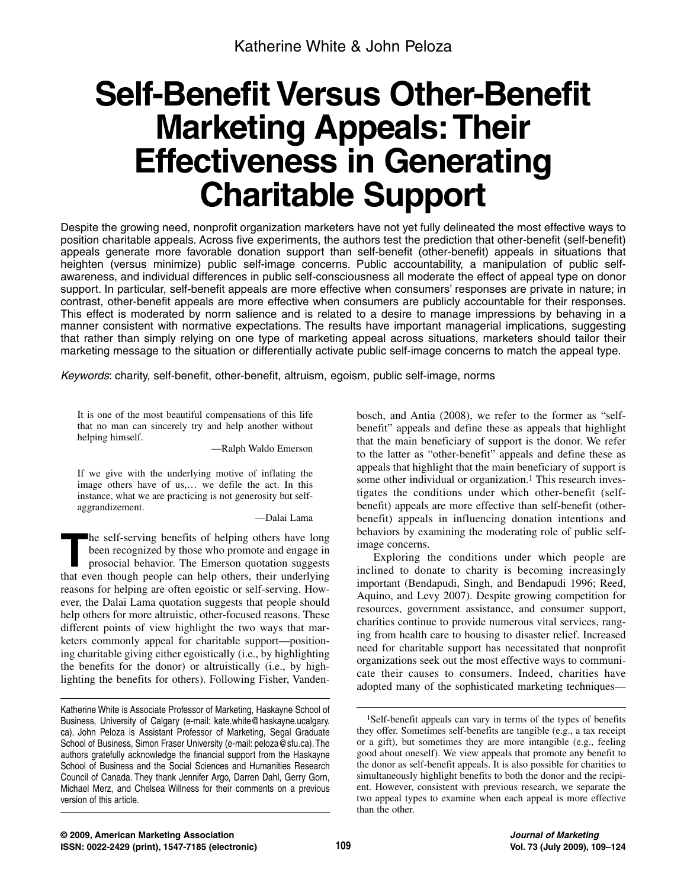# **Self-Benefit Versus Other-Benefit Marketing Appeals:Their Effectiveness in Generating Charitable Support**

Despite the growing need, nonprofit organization marketers have not yet fully delineated the most effective ways to position charitable appeals. Across five experiments, the authors test the prediction that other-benefit (self-benefit) appeals generate more favorable donation support than self-benefit (other-benefit) appeals in situations that heighten (versus minimize) public self-image concerns. Public accountability, a manipulation of public selfawareness, and individual differences in public self-consciousness all moderate the effect of appeal type on donor support. In particular, self-benefit appeals are more effective when consumers' responses are private in nature; in contrast, other-benefit appeals are more effective when consumers are publicly accountable for their responses. This effect is moderated by norm salience and is related to a desire to manage impressions by behaving in a manner consistent with normative expectations. The results have important managerial implications, suggesting that rather than simply relying on one type of marketing appeal across situations, marketers should tailor their marketing message to the situation or differentially activate public self-image concerns to match the appeal type.

Keywords: charity, self-benefit, other-benefit, altruism, egoism, public self-image, norms

It is one of the most beautiful compensations of this life that no man can sincerely try and help another without helping himself.

—Ralph Waldo Emerson

If we give with the underlying motive of inflating the image others have of us,… we defile the act. In this instance, what we are practicing is not generosity but selfaggrandizement.

—Dalai Lama

**T**he self-serving benefits of helping others have long been recognized by those who promote and engage in prosocial behavior. The Emerson quotation suggests that even though people can help others, their underlying reasons for helping are often egoistic or self-serving. However, the Dalai Lama quotation suggests that people should help others for more altruistic, other-focused reasons. These different points of view highlight the two ways that marketers commonly appeal for charitable support—positioning charitable giving either egoistically (i.e., by highlighting the benefits for the donor) or altruistically (i.e., by highlighting the benefits for others). Following Fisher, Vanden-

bosch, and Antia (2008), we refer to the former as "selfbenefit" appeals and define these as appeals that highlight that the main beneficiary of support is the donor. We refer to the latter as "other-benefit" appeals and define these as appeals that highlight that the main beneficiary of support is some other individual or organization.<sup>1</sup> This research investigates the conditions under which other-benefit (selfbenefit) appeals are more effective than self-benefit (otherbenefit) appeals in influencing donation intentions and behaviors by examining the moderating role of public selfimage concerns.

Exploring the conditions under which people are inclined to donate to charity is becoming increasingly important (Bendapudi, Singh, and Bendapudi 1996; Reed, Aquino, and Levy 2007). Despite growing competition for resources, government assistance, and consumer support, charities continue to provide numerous vital services, ranging from health care to housing to disaster relief. Increased need for charitable support has necessitated that nonprofit organizations seek out the most effective ways to communicate their causes to consumers. Indeed, charities have adopted many of the sophisticated marketing techniques—

Katherine White is Associate Professor of Marketing, Haskayne School of Business, University of Calgary (e-mail: kate.white@haskayne.ucalgary. ca). John Peloza is Assistant Professor of Marketing, Segal Graduate School of Business, Simon Fraser University (e-mail: peloza@sfu.ca). The authors gratefully acknowledge the financial support from the Haskayne School of Business and the Social Sciences and Humanities Research Council of Canada. They thank Jennifer Argo, Darren Dahl, Gerry Gorn, Michael Merz, and Chelsea Willness for their comments on a previous version of this article.

<sup>1</sup>Self-benefit appeals can vary in terms of the types of benefits they offer. Sometimes self-benefits are tangible (e.g., a tax receipt or a gift), but sometimes they are more intangible (e.g., feeling good about oneself). We view appeals that promote any benefit to the donor as self-benefit appeals. It is also possible for charities to simultaneously highlight benefits to both the donor and the recipient. However, consistent with previous research, we separate the two appeal types to examine when each appeal is more effective than the other.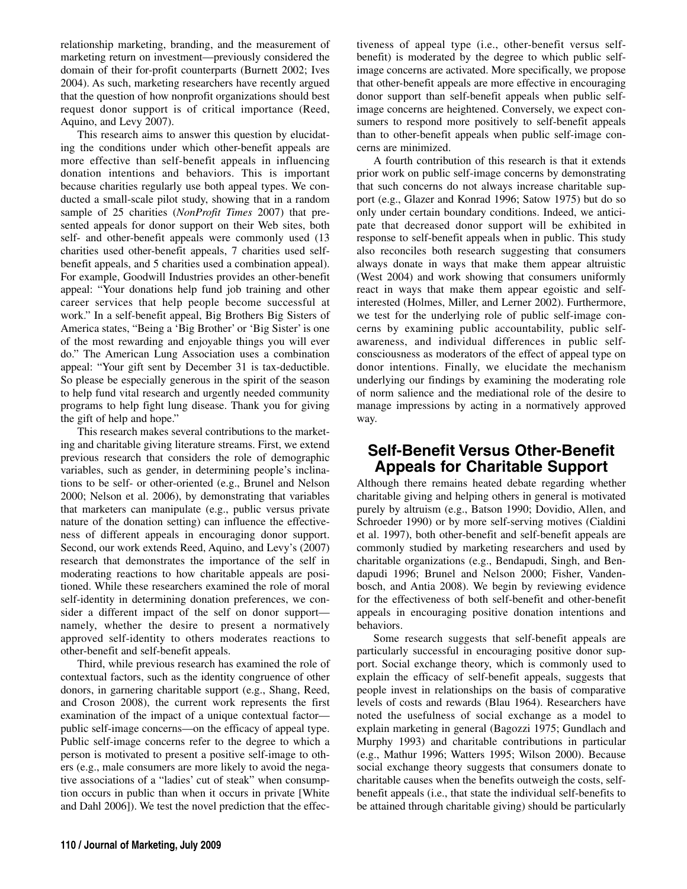relationship marketing, branding, and the measurement of marketing return on investment—previously considered the domain of their for-profit counterparts (Burnett 2002; Ives 2004). As such, marketing researchers have recently argued that the question of how nonprofit organizations should best request donor support is of critical importance (Reed, Aquino, and Levy 2007).

This research aims to answer this question by elucidating the conditions under which other-benefit appeals are more effective than self-benefit appeals in influencing donation intentions and behaviors. This is important because charities regularly use both appeal types. We conducted a small-scale pilot study, showing that in a random sample of 25 charities (*NonProfit Times* 2007) that presented appeals for donor support on their Web sites, both self- and other-benefit appeals were commonly used (13 charities used other-benefit appeals, 7 charities used selfbenefit appeals, and 5 charities used a combination appeal). For example, Goodwill Industries provides an other-benefit appeal: "Your donations help fund job training and other career services that help people become successful at work." In a self-benefit appeal, Big Brothers Big Sisters of America states, "Being a 'Big Brother' or 'Big Sister' is one of the most rewarding and enjoyable things you will ever do." The American Lung Association uses a combination appeal: "Your gift sent by December 31 is tax-deductible. So please be especially generous in the spirit of the season to help fund vital research and urgently needed community programs to help fight lung disease. Thank you for giving the gift of help and hope."

This research makes several contributions to the marketing and charitable giving literature streams. First, we extend previous research that considers the role of demographic variables, such as gender, in determining people's inclinations to be self- or other-oriented (e.g., Brunel and Nelson 2000; Nelson et al. 2006), by demonstrating that variables that marketers can manipulate (e.g., public versus private nature of the donation setting) can influence the effectiveness of different appeals in encouraging donor support. Second, our work extends Reed, Aquino, and Levy's (2007) research that demonstrates the importance of the self in moderating reactions to how charitable appeals are positioned. While these researchers examined the role of moral self-identity in determining donation preferences, we consider a different impact of the self on donor support namely, whether the desire to present a normatively approved self-identity to others moderates reactions to other-benefit and self-benefit appeals.

Third, while previous research has examined the role of contextual factors, such as the identity congruence of other donors, in garnering charitable support (e.g., Shang, Reed, and Croson 2008), the current work represents the first examination of the impact of a unique contextual factor public self-image concerns—on the efficacy of appeal type. Public self-image concerns refer to the degree to which a person is motivated to present a positive self-image to others (e.g., male consumers are more likely to avoid the negative associations of a "ladies' cut of steak" when consumption occurs in public than when it occurs in private [White and Dahl 2006]). We test the novel prediction that the effectiveness of appeal type (i.e., other-benefit versus selfbenefit) is moderated by the degree to which public selfimage concerns are activated. More specifically, we propose that other-benefit appeals are more effective in encouraging donor support than self-benefit appeals when public selfimage concerns are heightened. Conversely, we expect consumers to respond more positively to self-benefit appeals than to other-benefit appeals when public self-image concerns are minimized.

A fourth contribution of this research is that it extends prior work on public self-image concerns by demonstrating that such concerns do not always increase charitable support (e.g., Glazer and Konrad 1996; Satow 1975) but do so only under certain boundary conditions. Indeed, we anticipate that decreased donor support will be exhibited in response to self-benefit appeals when in public. This study also reconciles both research suggesting that consumers always donate in ways that make them appear altruistic (West 2004) and work showing that consumers uniformly react in ways that make them appear egoistic and selfinterested (Holmes, Miller, and Lerner 2002). Furthermore, we test for the underlying role of public self-image concerns by examining public accountability, public selfawareness, and individual differences in public selfconsciousness as moderators of the effect of appeal type on donor intentions. Finally, we elucidate the mechanism underlying our findings by examining the moderating role of norm salience and the mediational role of the desire to manage impressions by acting in a normatively approved way.

# **Self-Benefit Versus Other-Benefit Appeals for Charitable Support**

Although there remains heated debate regarding whether charitable giving and helping others in general is motivated purely by altruism (e.g., Batson 1990; Dovidio, Allen, and Schroeder 1990) or by more self-serving motives (Cialdini et al. 1997), both other-benefit and self-benefit appeals are commonly studied by marketing researchers and used by charitable organizations (e.g., Bendapudi, Singh, and Bendapudi 1996; Brunel and Nelson 2000; Fisher, Vandenbosch, and Antia 2008). We begin by reviewing evidence for the effectiveness of both self-benefit and other-benefit appeals in encouraging positive donation intentions and behaviors.

Some research suggests that self-benefit appeals are particularly successful in encouraging positive donor support. Social exchange theory, which is commonly used to explain the efficacy of self-benefit appeals, suggests that people invest in relationships on the basis of comparative levels of costs and rewards (Blau 1964). Researchers have noted the usefulness of social exchange as a model to explain marketing in general (Bagozzi 1975; Gundlach and Murphy 1993) and charitable contributions in particular (e.g., Mathur 1996; Watters 1995; Wilson 2000). Because social exchange theory suggests that consumers donate to charitable causes when the benefits outweigh the costs, selfbenefit appeals (i.e., that state the individual self-benefits to be attained through charitable giving) should be particularly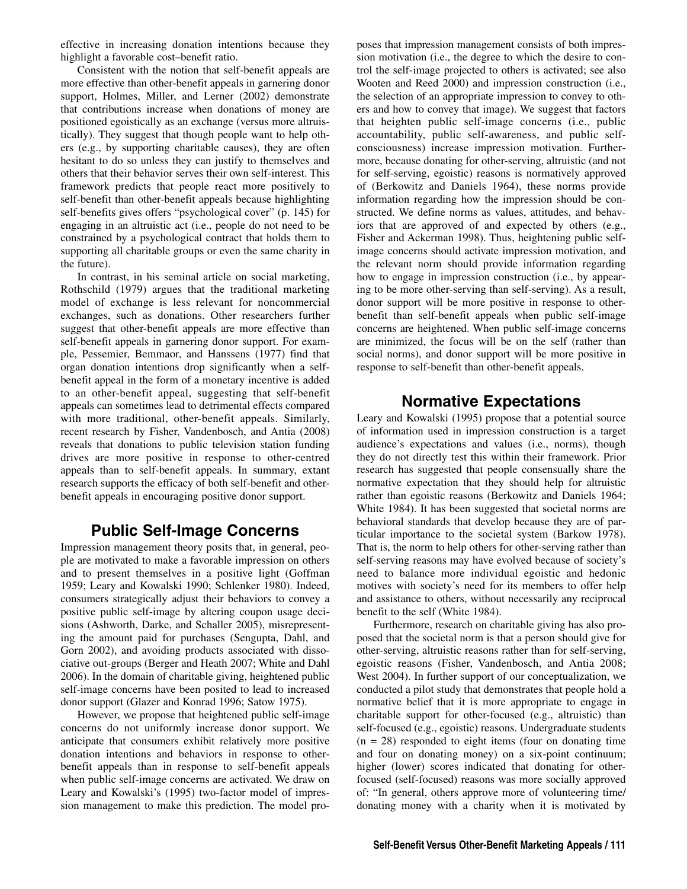effective in increasing donation intentions because they highlight a favorable cost–benefit ratio.

Consistent with the notion that self-benefit appeals are more effective than other-benefit appeals in garnering donor support, Holmes, Miller, and Lerner (2002) demonstrate that contributions increase when donations of money are positioned egoistically as an exchange (versus more altruistically). They suggest that though people want to help others (e.g., by supporting charitable causes), they are often hesitant to do so unless they can justify to themselves and others that their behavior serves their own self-interest. This framework predicts that people react more positively to self-benefit than other-benefit appeals because highlighting self-benefits gives offers "psychological cover" (p. 145) for engaging in an altruistic act (i.e., people do not need to be constrained by a psychological contract that holds them to supporting all charitable groups or even the same charity in the future).

In contrast, in his seminal article on social marketing, Rothschild (1979) argues that the traditional marketing model of exchange is less relevant for noncommercial exchanges, such as donations. Other researchers further suggest that other-benefit appeals are more effective than self-benefit appeals in garnering donor support. For example, Pessemier, Bemmaor, and Hanssens (1977) find that organ donation intentions drop significantly when a selfbenefit appeal in the form of a monetary incentive is added to an other-benefit appeal, suggesting that self-benefit appeals can sometimes lead to detrimental effects compared with more traditional, other-benefit appeals. Similarly, recent research by Fisher, Vandenbosch, and Antia (2008) reveals that donations to public television station funding drives are more positive in response to other-centred appeals than to self-benefit appeals. In summary, extant research supports the efficacy of both self-benefit and otherbenefit appeals in encouraging positive donor support.

## **Public Self-Image Concerns**

Impression management theory posits that, in general, people are motivated to make a favorable impression on others and to present themselves in a positive light (Goffman 1959; Leary and Kowalski 1990; Schlenker 1980). Indeed, consumers strategically adjust their behaviors to convey a positive public self-image by altering coupon usage decisions (Ashworth, Darke, and Schaller 2005), misrepresenting the amount paid for purchases (Sengupta, Dahl, and Gorn 2002), and avoiding products associated with dissociative out-groups (Berger and Heath 2007; White and Dahl 2006). In the domain of charitable giving, heightened public self-image concerns have been posited to lead to increased donor support (Glazer and Konrad 1996; Satow 1975).

However, we propose that heightened public self-image concerns do not uniformly increase donor support. We anticipate that consumers exhibit relatively more positive donation intentions and behaviors in response to otherbenefit appeals than in response to self-benefit appeals when public self-image concerns are activated. We draw on Leary and Kowalski's (1995) two-factor model of impression management to make this prediction. The model proposes that impression management consists of both impression motivation (i.e., the degree to which the desire to control the self-image projected to others is activated; see also Wooten and Reed 2000) and impression construction (i.e., the selection of an appropriate impression to convey to others and how to convey that image). We suggest that factors that heighten public self-image concerns (i.e., public accountability, public self-awareness, and public selfconsciousness) increase impression motivation. Furthermore, because donating for other-serving, altruistic (and not for self-serving, egoistic) reasons is normatively approved of (Berkowitz and Daniels 1964), these norms provide information regarding how the impression should be constructed. We define norms as values, attitudes, and behaviors that are approved of and expected by others (e.g., Fisher and Ackerman 1998). Thus, heightening public selfimage concerns should activate impression motivation, and the relevant norm should provide information regarding how to engage in impression construction (i.e., by appearing to be more other-serving than self-serving). As a result, donor support will be more positive in response to otherbenefit than self-benefit appeals when public self-image concerns are heightened. When public self-image concerns are minimized, the focus will be on the self (rather than social norms), and donor support will be more positive in response to self-benefit than other-benefit appeals.

# **Normative Expectations**

Leary and Kowalski (1995) propose that a potential source of information used in impression construction is a target audience's expectations and values (i.e., norms), though they do not directly test this within their framework. Prior research has suggested that people consensually share the normative expectation that they should help for altruistic rather than egoistic reasons (Berkowitz and Daniels 1964; White 1984). It has been suggested that societal norms are behavioral standards that develop because they are of particular importance to the societal system (Barkow 1978). That is, the norm to help others for other-serving rather than self-serving reasons may have evolved because of society's need to balance more individual egoistic and hedonic motives with society's need for its members to offer help and assistance to others, without necessarily any reciprocal benefit to the self (White 1984).

Furthermore, research on charitable giving has also proposed that the societal norm is that a person should give for other-serving, altruistic reasons rather than for self-serving, egoistic reasons (Fisher, Vandenbosch, and Antia 2008; West 2004). In further support of our conceptualization, we conducted a pilot study that demonstrates that people hold a normative belief that it is more appropriate to engage in charitable support for other-focused (e.g., altruistic) than self-focused (e.g., egoistic) reasons. Undergraduate students  $(n = 28)$  responded to eight items (four on donating time and four on donating money) on a six-point continuum; higher (lower) scores indicated that donating for otherfocused (self-focused) reasons was more socially approved of: "In general, others approve more of volunteering time/ donating money with a charity when it is motivated by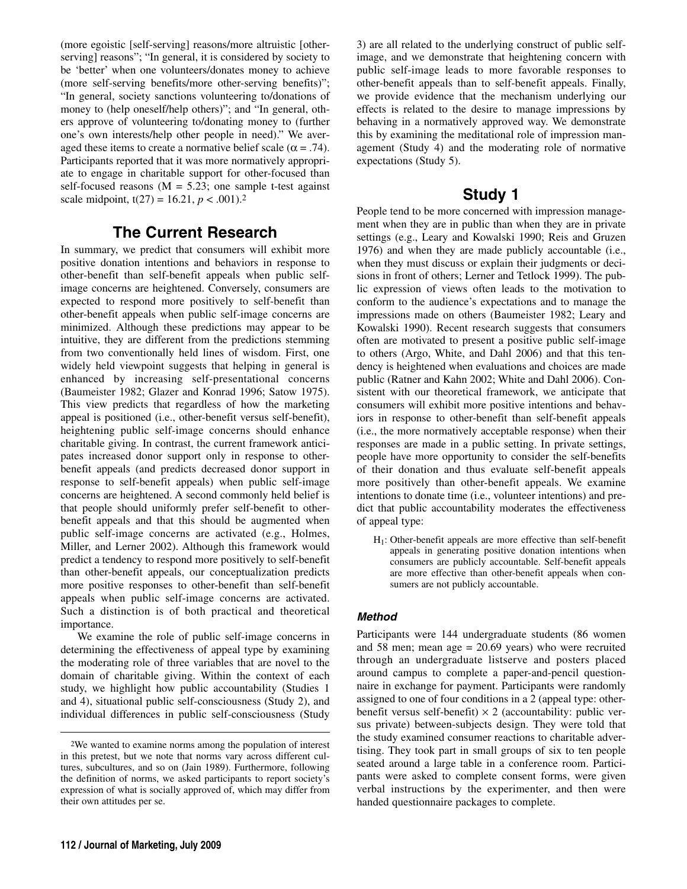(more egoistic [self-serving] reasons/more altruistic [otherserving] reasons"; "In general, it is considered by society to be 'better' when one volunteers/donates money to achieve (more self-serving benefits/more other-serving benefits)"; "In general, society sanctions volunteering to/donations of money to (help oneself/help others)"; and "In general, others approve of volunteering to/donating money to (further one's own interests/help other people in need)." We averaged these items to create a normative belief scale ( $\alpha$  = .74). Participants reported that it was more normatively appropriate to engage in charitable support for other-focused than self-focused reasons  $(M = 5.23$ ; one sample t-test against scale midpoint,  $t(27) = 16.21, p < .001$ .<sup>2</sup>

# **The Current Research**

In summary, we predict that consumers will exhibit more positive donation intentions and behaviors in response to other-benefit than self-benefit appeals when public selfimage concerns are heightened. Conversely, consumers are expected to respond more positively to self-benefit than other-benefit appeals when public self-image concerns are minimized. Although these predictions may appear to be intuitive, they are different from the predictions stemming from two conventionally held lines of wisdom. First, one widely held viewpoint suggests that helping in general is enhanced by increasing self-presentational concerns (Baumeister 1982; Glazer and Konrad 1996; Satow 1975). This view predicts that regardless of how the marketing appeal is positioned (i.e., other-benefit versus self-benefit), heightening public self-image concerns should enhance charitable giving. In contrast, the current framework anticipates increased donor support only in response to otherbenefit appeals (and predicts decreased donor support in response to self-benefit appeals) when public self-image concerns are heightened. A second commonly held belief is that people should uniformly prefer self-benefit to otherbenefit appeals and that this should be augmented when public self-image concerns are activated (e.g., Holmes, Miller, and Lerner 2002). Although this framework would predict a tendency to respond more positively to self-benefit than other-benefit appeals, our conceptualization predicts more positive responses to other-benefit than self-benefit appeals when public self-image concerns are activated. Such a distinction is of both practical and theoretical importance.

We examine the role of public self-image concerns in determining the effectiveness of appeal type by examining the moderating role of three variables that are novel to the domain of charitable giving. Within the context of each study, we highlight how public accountability (Studies 1 and 4), situational public self-consciousness (Study 2), and individual differences in public self-consciousness (Study

3) are all related to the underlying construct of public selfimage, and we demonstrate that heightening concern with public self-image leads to more favorable responses to other-benefit appeals than to self-benefit appeals. Finally, we provide evidence that the mechanism underlying our effects is related to the desire to manage impressions by behaving in a normatively approved way. We demonstrate this by examining the meditational role of impression management (Study 4) and the moderating role of normative expectations (Study 5).

## **Study 1**

People tend to be more concerned with impression management when they are in public than when they are in private settings (e.g., Leary and Kowalski 1990; Reis and Gruzen 1976) and when they are made publicly accountable (i.e., when they must discuss or explain their judgments or decisions in front of others; Lerner and Tetlock 1999). The public expression of views often leads to the motivation to conform to the audience's expectations and to manage the impressions made on others (Baumeister 1982; Leary and Kowalski 1990). Recent research suggests that consumers often are motivated to present a positive public self-image to others (Argo, White, and Dahl 2006) and that this tendency is heightened when evaluations and choices are made public (Ratner and Kahn 2002; White and Dahl 2006). Consistent with our theoretical framework, we anticipate that consumers will exhibit more positive intentions and behaviors in response to other-benefit than self-benefit appeals (i.e., the more normatively acceptable response) when their responses are made in a public setting. In private settings, people have more opportunity to consider the self-benefits of their donation and thus evaluate self-benefit appeals more positively than other-benefit appeals. We examine intentions to donate time (i.e., volunteer intentions) and predict that public accountability moderates the effectiveness of appeal type:

H1: Other-benefit appeals are more effective than self-benefit appeals in generating positive donation intentions when consumers are publicly accountable. Self-benefit appeals are more effective than other-benefit appeals when consumers are not publicly accountable.

## **Method**

Participants were 144 undergraduate students (86 women and 58 men; mean age = 20.69 years) who were recruited through an undergraduate listserve and posters placed around campus to complete a paper-and-pencil questionnaire in exchange for payment. Participants were randomly assigned to one of four conditions in a 2 (appeal type: otherbenefit versus self-benefit)  $\times$  2 (accountability: public versus private) between-subjects design. They were told that the study examined consumer reactions to charitable advertising. They took part in small groups of six to ten people seated around a large table in a conference room. Participants were asked to complete consent forms, were given verbal instructions by the experimenter, and then were handed questionnaire packages to complete.

<sup>2</sup>We wanted to examine norms among the population of interest in this pretest, but we note that norms vary across different cultures, subcultures, and so on (Jain 1989). Furthermore, following the definition of norms, we asked participants to report society's expression of what is socially approved of, which may differ from their own attitudes per se.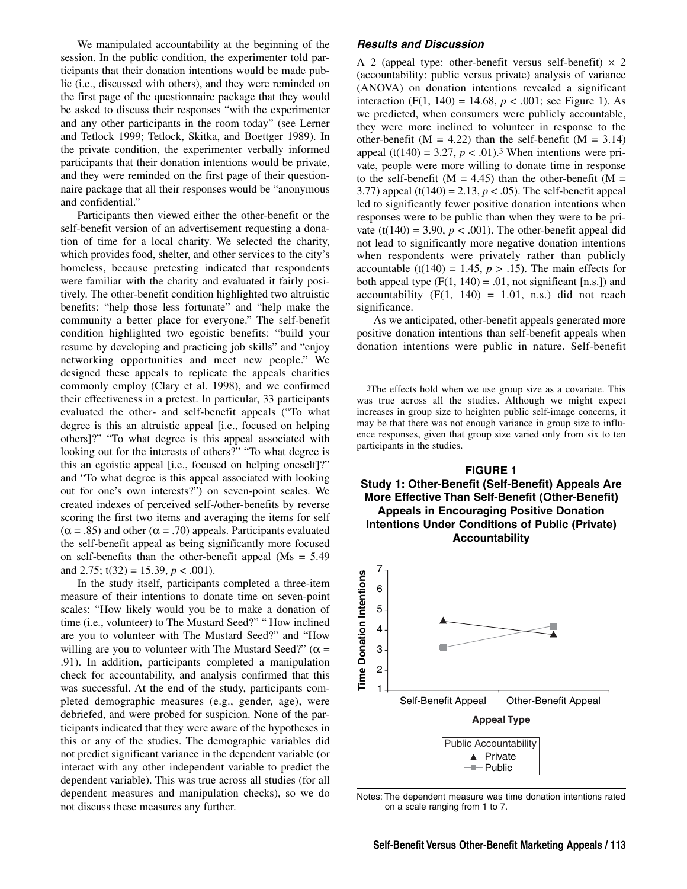We manipulated accountability at the beginning of the session. In the public condition, the experimenter told participants that their donation intentions would be made public (i.e., discussed with others), and they were reminded on the first page of the questionnaire package that they would be asked to discuss their responses "with the experimenter and any other participants in the room today" (see Lerner and Tetlock 1999; Tetlock, Skitka, and Boettger 1989). In the private condition, the experimenter verbally informed participants that their donation intentions would be private, and they were reminded on the first page of their questionnaire package that all their responses would be "anonymous and confidential."

Participants then viewed either the other-benefit or the self-benefit version of an advertisement requesting a donation of time for a local charity. We selected the charity, which provides food, shelter, and other services to the city's homeless, because pretesting indicated that respondents were familiar with the charity and evaluated it fairly positively. The other-benefit condition highlighted two altruistic benefits: "help those less fortunate" and "help make the community a better place for everyone." The self-benefit condition highlighted two egoistic benefits: "build your resume by developing and practicing job skills" and "enjoy networking opportunities and meet new people." We designed these appeals to replicate the appeals charities commonly employ (Clary et al. 1998), and we confirmed their effectiveness in a pretest. In particular, 33 participants evaluated the other- and self-benefit appeals ("To what degree is this an altruistic appeal [i.e., focused on helping others]?" "To what degree is this appeal associated with looking out for the interests of others?" "To what degree is this an egoistic appeal [i.e., focused on helping oneself]?" and "To what degree is this appeal associated with looking out for one's own interests?") on seven-point scales. We created indexes of perceived self-/other-benefits by reverse scoring the first two items and averaging the items for self  $(\alpha = .85)$  and other  $(\alpha = .70)$  appeals. Participants evaluated the self-benefit appeal as being significantly more focused on self-benefits than the other-benefit appeal (Ms = 5.49 and 2.75;  $t(32) = 15.39$ ,  $p < .001$ ).

In the study itself, participants completed a three-item measure of their intentions to donate time on seven-point scales: "How likely would you be to make a donation of time (i.e., volunteer) to The Mustard Seed?" " How inclined are you to volunteer with The Mustard Seed?" and "How willing are you to volunteer with The Mustard Seed?" ( $\alpha$  = .91). In addition, participants completed a manipulation check for accountability, and analysis confirmed that this was successful. At the end of the study, participants completed demographic measures (e.g., gender, age), were debriefed, and were probed for suspicion. None of the participants indicated that they were aware of the hypotheses in this or any of the studies. The demographic variables did not predict significant variance in the dependent variable (or interact with any other independent variable to predict the dependent variable). This was true across all studies (for all dependent measures and manipulation checks), so we do not discuss these measures any further.

#### **Results and Discussion**

A 2 (appeal type: other-benefit versus self-benefit)  $\times$  2 (accountability: public versus private) analysis of variance (ANOVA) on donation intentions revealed a significant interaction (F(1, 140) = 14.68,  $p < .001$ ; see Figure 1). As we predicted, when consumers were publicly accountable, they were more inclined to volunteer in response to the other-benefit ( $M = 4.22$ ) than the self-benefit ( $M = 3.14$ ) appeal (t(140) = 3.27,  $p < .01$ ).<sup>3</sup> When intentions were private, people were more willing to donate time in response to the self-benefit ( $M = 4.45$ ) than the other-benefit ( $M =$ 3.77) appeal (t(140) = 2.13,  $p < .05$ ). The self-benefit appeal led to significantly fewer positive donation intentions when responses were to be public than when they were to be private (t(140) = 3.90,  $p < .001$ ). The other-benefit appeal did not lead to significantly more negative donation intentions when respondents were privately rather than publicly accountable (t(140) = 1.45,  $p > .15$ ). The main effects for both appeal type  $(F(1, 140) = .01$ , not significant [n.s.]) and accountability  $(F(1, 140) = 1.01, n.s.)$  did not reach significance.

As we anticipated, other-benefit appeals generated more positive donation intentions than self-benefit appeals when donation intentions were public in nature. Self-benefit

3The effects hold when we use group size as a covariate. This was true across all the studies. Although we might expect increases in group size to heighten public self-image concerns, it may be that there was not enough variance in group size to influence responses, given that group size varied only from six to ten participants in the studies.





Notes: The dependent measure was time donation intentions rated on a scale ranging from 1 to 7.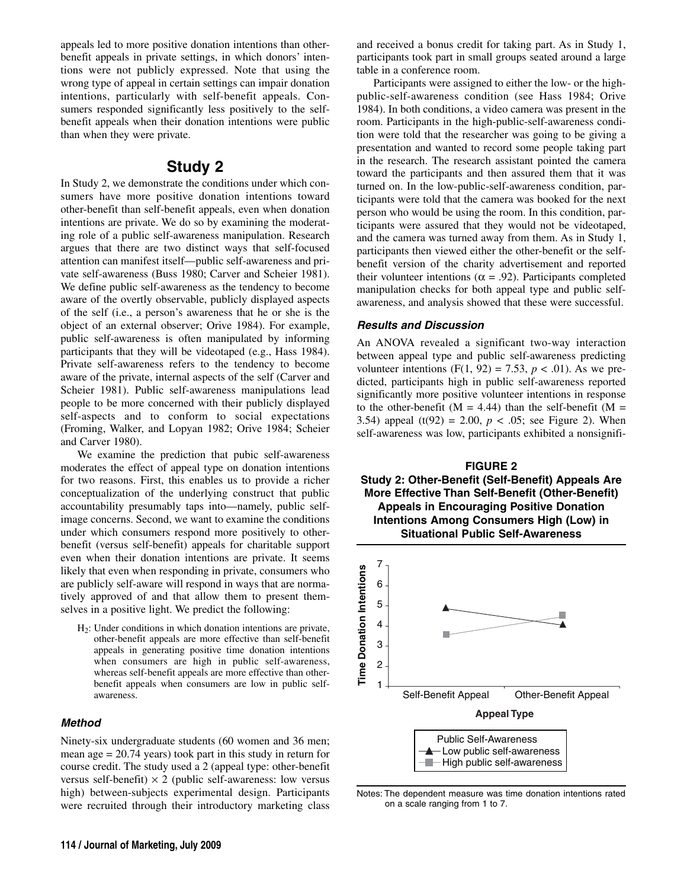appeals led to more positive donation intentions than otherbenefit appeals in private settings, in which donors' intentions were not publicly expressed. Note that using the wrong type of appeal in certain settings can impair donation intentions, particularly with self-benefit appeals. Consumers responded significantly less positively to the selfbenefit appeals when their donation intentions were public than when they were private.

## **Study 2**

In Study 2, we demonstrate the conditions under which consumers have more positive donation intentions toward other-benefit than self-benefit appeals, even when donation intentions are private. We do so by examining the moderating role of a public self-awareness manipulation. Research argues that there are two distinct ways that self-focused attention can manifest itself—public self-awareness and private self-awareness (Buss 1980; Carver and Scheier 1981). We define public self-awareness as the tendency to become aware of the overtly observable, publicly displayed aspects of the self (i.e., a person's awareness that he or she is the object of an external observer; Orive 1984). For example, public self-awareness is often manipulated by informing participants that they will be videotaped (e.g., Hass 1984). Private self-awareness refers to the tendency to become aware of the private, internal aspects of the self (Carver and Scheier 1981). Public self-awareness manipulations lead people to be more concerned with their publicly displayed self-aspects and to conform to social expectations (Froming, Walker, and Lopyan 1982; Orive 1984; Scheier and Carver 1980).

We examine the prediction that pubic self-awareness moderates the effect of appeal type on donation intentions for two reasons. First, this enables us to provide a richer conceptualization of the underlying construct that public accountability presumably taps into—namely, public selfimage concerns. Second, we want to examine the conditions under which consumers respond more positively to otherbenefit (versus self-benefit) appeals for charitable support even when their donation intentions are private. It seems likely that even when responding in private, consumers who are publicly self-aware will respond in ways that are normatively approved of and that allow them to present themselves in a positive light. We predict the following:

 $H<sub>2</sub>$ : Under conditions in which donation intentions are private, other-benefit appeals are more effective than self-benefit appeals in generating positive time donation intentions when consumers are high in public self-awareness, whereas self-benefit appeals are more effective than otherbenefit appeals when consumers are low in public selfawareness.

#### **Method**

Ninety-six undergraduate students (60 women and 36 men; mean age = 20.74 years) took part in this study in return for course credit. The study used a 2 (appeal type: other-benefit versus self-benefit)  $\times$  2 (public self-awareness: low versus high) between-subjects experimental design. Participants were recruited through their introductory marketing class and received a bonus credit for taking part. As in Study 1, participants took part in small groups seated around a large table in a conference room.

Participants were assigned to either the low- or the highpublic-self-awareness condition (see Hass 1984; Orive 1984). In both conditions, a video camera was present in the room. Participants in the high-public-self-awareness condition were told that the researcher was going to be giving a presentation and wanted to record some people taking part in the research. The research assistant pointed the camera toward the participants and then assured them that it was turned on. In the low-public-self-awareness condition, participants were told that the camera was booked for the next person who would be using the room. In this condition, participants were assured that they would not be videotaped, and the camera was turned away from them. As in Study 1, participants then viewed either the other-benefit or the selfbenefit version of the charity advertisement and reported their volunteer intentions ( $\alpha$  = .92). Participants completed manipulation checks for both appeal type and public selfawareness, and analysis showed that these were successful.

#### **Results and Discussion**

An ANOVA revealed a significant two-way interaction between appeal type and public self-awareness predicting volunteer intentions  $(F(1, 92) = 7.53, p < .01)$ . As we predicted, participants high in public self-awareness reported significantly more positive volunteer intentions in response to the other-benefit ( $M = 4.44$ ) than the self-benefit ( $M =$ 3.54) appeal (t(92) = 2.00,  $p < .05$ ; see Figure 2). When self-awareness was low, participants exhibited a nonsignifi-

**FIGURE 2 Study 2: Other-Benefit (Self-Benefit) Appeals Are More Effective Than Self-Benefit (Other-Benefit) Appeals in Encouraging Positive Donation Intentions Among Consumers High (Low) in Situational Public Self-Awareness**



Notes: The dependent measure was time donation intentions rated on a scale ranging from 1 to 7.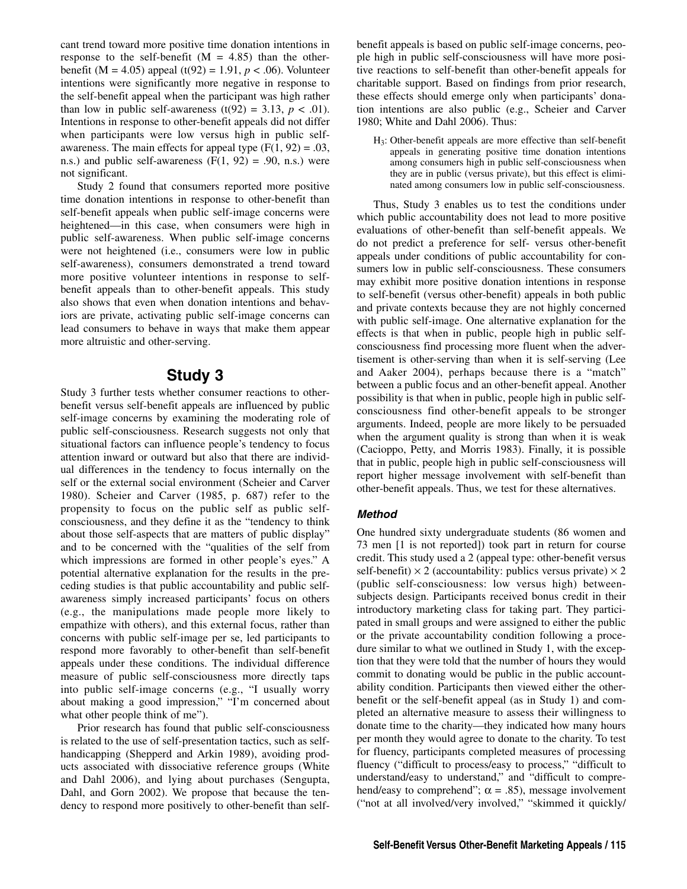cant trend toward more positive time donation intentions in response to the self-benefit  $(M = 4.85)$  than the otherbenefit (M = 4.05) appeal (t(92) = 1.91,  $p < .06$ ). Volunteer intentions were significantly more negative in response to the self-benefit appeal when the participant was high rather than low in public self-awareness (t(92) = 3.13,  $p < .01$ ). Intentions in response to other-benefit appeals did not differ when participants were low versus high in public selfawareness. The main effects for appeal type  $(F(1, 92) = .03$ , n.s.) and public self-awareness  $(F(1, 92) = .90, n.s.)$  were not significant.

Study 2 found that consumers reported more positive time donation intentions in response to other-benefit than self-benefit appeals when public self-image concerns were heightened—in this case, when consumers were high in public self-awareness. When public self-image concerns were not heightened (i.e., consumers were low in public self-awareness), consumers demonstrated a trend toward more positive volunteer intentions in response to selfbenefit appeals than to other-benefit appeals. This study also shows that even when donation intentions and behaviors are private, activating public self-image concerns can lead consumers to behave in ways that make them appear more altruistic and other-serving.

## **Study 3**

Study 3 further tests whether consumer reactions to otherbenefit versus self-benefit appeals are influenced by public self-image concerns by examining the moderating role of public self-consciousness. Research suggests not only that situational factors can influence people's tendency to focus attention inward or outward but also that there are individual differences in the tendency to focus internally on the self or the external social environment (Scheier and Carver 1980). Scheier and Carver (1985, p. 687) refer to the propensity to focus on the public self as public selfconsciousness, and they define it as the "tendency to think about those self-aspects that are matters of public display" and to be concerned with the "qualities of the self from which impressions are formed in other people's eyes." A potential alternative explanation for the results in the preceding studies is that public accountability and public selfawareness simply increased participants' focus on others (e.g., the manipulations made people more likely to empathize with others), and this external focus, rather than concerns with public self-image per se, led participants to respond more favorably to other-benefit than self-benefit appeals under these conditions. The individual difference measure of public self-consciousness more directly taps into public self-image concerns (e.g., "I usually worry about making a good impression," "I'm concerned about what other people think of me").

Prior research has found that public self-consciousness is related to the use of self-presentation tactics, such as selfhandicapping (Shepperd and Arkin 1989), avoiding products associated with dissociative reference groups (White and Dahl 2006), and lying about purchases (Sengupta, Dahl, and Gorn 2002). We propose that because the tendency to respond more positively to other-benefit than selfbenefit appeals is based on public self-image concerns, people high in public self-consciousness will have more positive reactions to self-benefit than other-benefit appeals for charitable support. Based on findings from prior research, these effects should emerge only when participants' donation intentions are also public (e.g., Scheier and Carver 1980; White and Dahl 2006). Thus:

H3: Other-benefit appeals are more effective than self-benefit appeals in generating positive time donation intentions among consumers high in public self-consciousness when they are in public (versus private), but this effect is eliminated among consumers low in public self-consciousness.

Thus, Study 3 enables us to test the conditions under which public accountability does not lead to more positive evaluations of other-benefit than self-benefit appeals. We do not predict a preference for self- versus other-benefit appeals under conditions of public accountability for consumers low in public self-consciousness. These consumers may exhibit more positive donation intentions in response to self-benefit (versus other-benefit) appeals in both public and private contexts because they are not highly concerned with public self-image. One alternative explanation for the effects is that when in public, people high in public selfconsciousness find processing more fluent when the advertisement is other-serving than when it is self-serving (Lee and Aaker 2004), perhaps because there is a "match" between a public focus and an other-benefit appeal. Another possibility is that when in public, people high in public selfconsciousness find other-benefit appeals to be stronger arguments. Indeed, people are more likely to be persuaded when the argument quality is strong than when it is weak (Cacioppo, Petty, and Morris 1983). Finally, it is possible that in public, people high in public self-consciousness will report higher message involvement with self-benefit than other-benefit appeals. Thus, we test for these alternatives.

#### **Method**

One hundred sixty undergraduate students (86 women and 73 men [1 is not reported]) took part in return for course credit. This study used a 2 (appeal type: other-benefit versus self-benefit)  $\times$  2 (accountability: publics versus private)  $\times$  2 (public self-consciousness: low versus high) betweensubjects design. Participants received bonus credit in their introductory marketing class for taking part. They participated in small groups and were assigned to either the public or the private accountability condition following a procedure similar to what we outlined in Study 1, with the exception that they were told that the number of hours they would commit to donating would be public in the public accountability condition. Participants then viewed either the otherbenefit or the self-benefit appeal (as in Study 1) and completed an alternative measure to assess their willingness to donate time to the charity—they indicated how many hours per month they would agree to donate to the charity. To test for fluency, participants completed measures of processing fluency ("difficult to process/easy to process," "difficult to understand/easy to understand," and "difficult to comprehend/easy to comprehend";  $\alpha = .85$ ), message involvement ("not at all involved/very involved," "skimmed it quickly/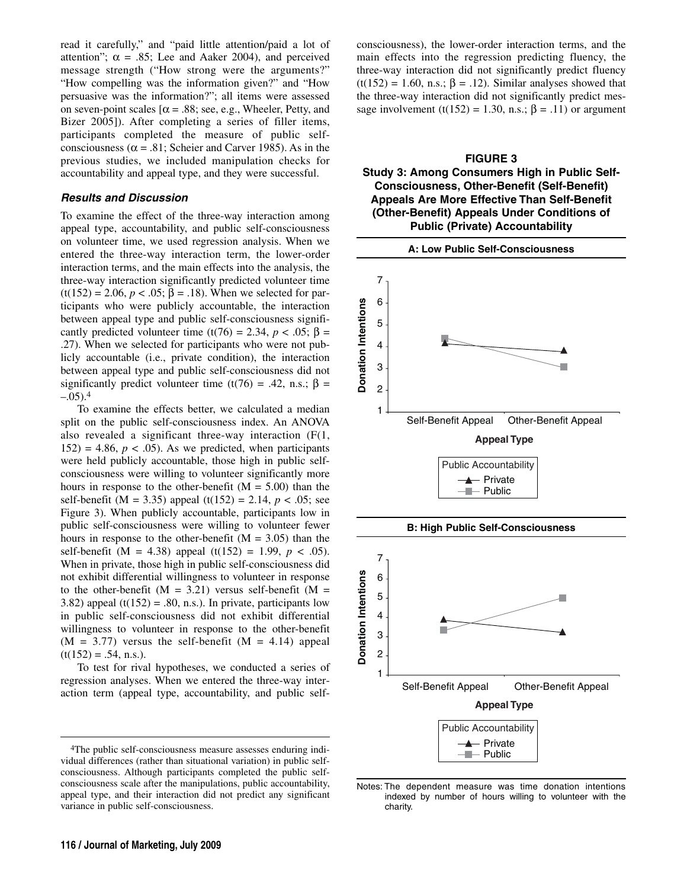read it carefully," and "paid little attention/paid a lot of attention";  $\alpha = .85$ ; Lee and Aaker 2004), and perceived message strength ("How strong were the arguments?" "How compelling was the information given?" and "How persuasive was the information?"; all items were assessed on seven-point scales  $[\alpha = .88; \text{ sec}, \text{ e.g., Wheeler}, \text{Petty}, \text{and}$ Bizer 2005]). After completing a series of filler items, participants completed the measure of public selfconsciousness ( $\alpha$  = .81; Scheier and Carver 1985). As in the previous studies, we included manipulation checks for accountability and appeal type, and they were successful.

#### **Results and Discussion**

To examine the effect of the three-way interaction among appeal type, accountability, and public self-consciousness on volunteer time, we used regression analysis. When we entered the three-way interaction term, the lower-order interaction terms, and the main effects into the analysis, the three-way interaction significantly predicted volunteer time (t(152) = 2.06, *p* < .05; β = .18). When we selected for participants who were publicly accountable, the interaction between appeal type and public self-consciousness significantly predicted volunteer time (t(76) = 2.34,  $p < .05$ ;  $\beta$  = .27). When we selected for participants who were not publicly accountable (i.e., private condition), the interaction between appeal type and public self-consciousness did not significantly predict volunteer time (t(76) = .42, n.s.;  $\beta$  =  $-.05$ ).<sup>4</sup>

To examine the effects better, we calculated a median split on the public self-consciousness index. An ANOVA also revealed a significant three-way interaction  $(F(1,$  $152$ ) = 4.86,  $p < .05$ ). As we predicted, when participants were held publicly accountable, those high in public selfconsciousness were willing to volunteer significantly more hours in response to the other-benefit ( $M = 5.00$ ) than the self-benefit (M = 3.35) appeal (t(152) = 2.14, *p* < .05; see Figure 3). When publicly accountable, participants low in public self-consciousness were willing to volunteer fewer hours in response to the other-benefit ( $M = 3.05$ ) than the self-benefit (M = 4.38) appeal (t(152) = 1.99,  $p < .05$ ). When in private, those high in public self-consciousness did not exhibit differential willingness to volunteer in response to the other-benefit ( $M = 3.21$ ) versus self-benefit ( $M =$ 3.82) appeal  $(t(152) = .80, n.s.)$ . In private, participants low in public self-consciousness did not exhibit differential willingness to volunteer in response to the other-benefit  $(M = 3.77)$  versus the self-benefit  $(M = 4.14)$  appeal  $(t(152) = .54, n.s.).$ 

To test for rival hypotheses, we conducted a series of regression analyses. When we entered the three-way interaction term (appeal type, accountability, and public selfconsciousness), the lower-order interaction terms, and the main effects into the regression predicting fluency, the three-way interaction did not significantly predict fluency  $(t(152) = 1.60, n.s.; \beta = .12)$ . Similar analyses showed that the three-way interaction did not significantly predict message involvement (t(152) = 1.30, n.s.;  $\beta$  = .11) or argument

#### **FIGURE 3 Study 3: Among Consumers High in Public Self-Consciousness, Other-Benefit (Self-Benefit) Appeals Are More Effective Than Self-Benefit (Other-Benefit) Appeals Under Conditions of Public (Private) Accountability**



Notes: The dependent measure was time donation intentions indexed by number of hours willing to volunteer with the charity.

<sup>4</sup>The public self-consciousness measure assesses enduring individual differences (rather than situational variation) in public selfconsciousness. Although participants completed the public selfconsciousness scale after the manipulations, public accountability, appeal type, and their interaction did not predict any significant variance in public self-consciousness.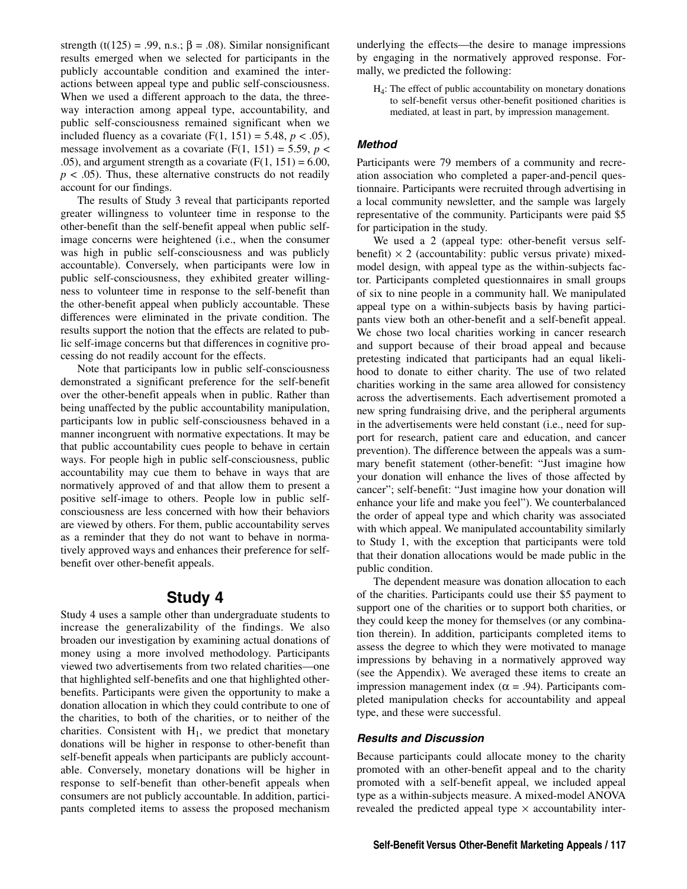strength (t(125) = .99, n.s.;  $\beta$  = .08). Similar nonsignificant results emerged when we selected for participants in the publicly accountable condition and examined the interactions between appeal type and public self-consciousness. When we used a different approach to the data, the threeway interaction among appeal type, accountability, and public self-consciousness remained significant when we included fluency as a covariate  $(F(1, 151) = 5.48, p < .05)$ , message involvement as a covariate  $(F(1, 151) = 5.59, p <$ .05), and argument strength as a covariate  $(F(1, 151) = 6.00,$  $p < .05$ ). Thus, these alternative constructs do not readily account for our findings.

The results of Study 3 reveal that participants reported greater willingness to volunteer time in response to the other-benefit than the self-benefit appeal when public selfimage concerns were heightened (i.e., when the consumer was high in public self-consciousness and was publicly accountable). Conversely, when participants were low in public self-consciousness, they exhibited greater willingness to volunteer time in response to the self-benefit than the other-benefit appeal when publicly accountable. These differences were eliminated in the private condition. The results support the notion that the effects are related to public self-image concerns but that differences in cognitive processing do not readily account for the effects.

Note that participants low in public self-consciousness demonstrated a significant preference for the self-benefit over the other-benefit appeals when in public. Rather than being unaffected by the public accountability manipulation, participants low in public self-consciousness behaved in a manner incongruent with normative expectations. It may be that public accountability cues people to behave in certain ways. For people high in public self-consciousness, public accountability may cue them to behave in ways that are normatively approved of and that allow them to present a positive self-image to others. People low in public selfconsciousness are less concerned with how their behaviors are viewed by others. For them, public accountability serves as a reminder that they do not want to behave in normatively approved ways and enhances their preference for selfbenefit over other-benefit appeals.

## **Study 4**

Study 4 uses a sample other than undergraduate students to increase the generalizability of the findings. We also broaden our investigation by examining actual donations of money using a more involved methodology. Participants viewed two advertisements from two related charities—one that highlighted self-benefits and one that highlighted otherbenefits. Participants were given the opportunity to make a donation allocation in which they could contribute to one of the charities, to both of the charities, or to neither of the charities. Consistent with  $H_1$ , we predict that monetary donations will be higher in response to other-benefit than self-benefit appeals when participants are publicly accountable. Conversely, monetary donations will be higher in response to self-benefit than other-benefit appeals when consumers are not publicly accountable. In addition, participants completed items to assess the proposed mechanism

underlying the effects—the desire to manage impressions by engaging in the normatively approved response. Formally, we predicted the following:

 $H_4$ : The effect of public accountability on monetary donations to self-benefit versus other-benefit positioned charities is mediated, at least in part, by impression management.

#### **Method**

Participants were 79 members of a community and recreation association who completed a paper-and-pencil questionnaire. Participants were recruited through advertising in a local community newsletter, and the sample was largely representative of the community. Participants were paid \$5 for participation in the study.

We used a 2 (appeal type: other-benefit versus selfbenefit)  $\times$  2 (accountability: public versus private) mixedmodel design, with appeal type as the within-subjects factor. Participants completed questionnaires in small groups of six to nine people in a community hall. We manipulated appeal type on a within-subjects basis by having participants view both an other-benefit and a self-benefit appeal. We chose two local charities working in cancer research and support because of their broad appeal and because pretesting indicated that participants had an equal likelihood to donate to either charity. The use of two related charities working in the same area allowed for consistency across the advertisements. Each advertisement promoted a new spring fundraising drive, and the peripheral arguments in the advertisements were held constant (i.e., need for support for research, patient care and education, and cancer prevention). The difference between the appeals was a summary benefit statement (other-benefit: "Just imagine how your donation will enhance the lives of those affected by cancer"; self-benefit: "Just imagine how your donation will enhance your life and make you feel"). We counterbalanced the order of appeal type and which charity was associated with which appeal. We manipulated accountability similarly to Study 1, with the exception that participants were told that their donation allocations would be made public in the public condition.

The dependent measure was donation allocation to each of the charities. Participants could use their \$5 payment to support one of the charities or to support both charities, or they could keep the money for themselves (or any combination therein). In addition, participants completed items to assess the degree to which they were motivated to manage impressions by behaving in a normatively approved way (see the Appendix). We averaged these items to create an impression management index ( $\alpha$  = .94). Participants completed manipulation checks for accountability and appeal type, and these were successful.

#### **Results and Discussion**

Because participants could allocate money to the charity promoted with an other-benefit appeal and to the charity promoted with a self-benefit appeal, we included appeal type as a within-subjects measure. A mixed-model ANOVA revealed the predicted appeal type  $\times$  accountability inter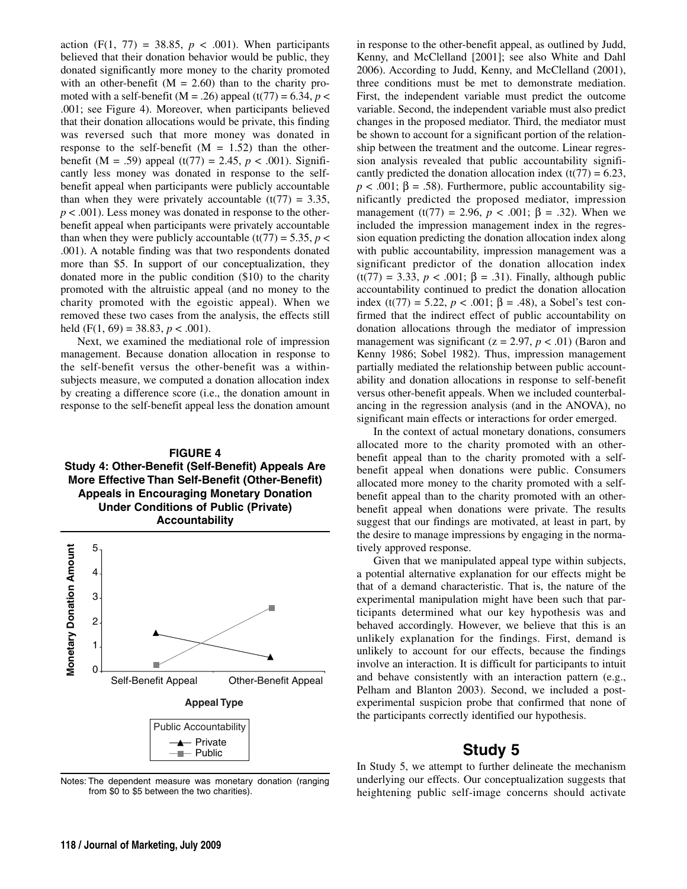action  $(F(1, 77) = 38.85, p < .001)$ . When participants believed that their donation behavior would be public, they donated significantly more money to the charity promoted with an other-benefit  $(M = 2.60)$  than to the charity promoted with a self-benefit ( $M = .26$ ) appeal (t(77) = 6.34, *p* < .001; see Figure 4). Moreover, when participants believed that their donation allocations would be private, this finding was reversed such that more money was donated in response to the self-benefit  $(M = 1.52)$  than the otherbenefit (M = .59) appeal (t(77) = 2.45, *p* < .001). Significantly less money was donated in response to the selfbenefit appeal when participants were publicly accountable than when they were privately accountable  $(t(77) = 3.35$ ,  $p < .001$ ). Less money was donated in response to the otherbenefit appeal when participants were privately accountable than when they were publicly accountable  $(t(77) = 5.35, p <$ .001). A notable finding was that two respondents donated more than \$5. In support of our conceptualization, they donated more in the public condition (\$10) to the charity promoted with the altruistic appeal (and no money to the charity promoted with the egoistic appeal). When we removed these two cases from the analysis, the effects still held (F(1, 69) = 38.83,  $p < .001$ ).

Next, we examined the mediational role of impression management. Because donation allocation in response to the self-benefit versus the other-benefit was a withinsubjects measure, we computed a donation allocation index by creating a difference score (i.e., the donation amount in response to the self-benefit appeal less the donation amount

#### **FIGURE 4 Study 4: Other-Benefit (Self-Benefit) Appeals Are More Effective Than Self-Benefit (Other-Benefit) Appeals in Encouraging Monetary Donation Under Conditions of Public (Private) Accountability**



Notes: The dependent measure was monetary donation (ranging from \$0 to \$5 between the two charities).

in response to the other-benefit appeal, as outlined by Judd, Kenny, and McClelland [2001]; see also White and Dahl 2006). According to Judd, Kenny, and McClelland (2001), three conditions must be met to demonstrate mediation. First, the independent variable must predict the outcome variable. Second, the independent variable must also predict changes in the proposed mediator. Third, the mediator must be shown to account for a significant portion of the relationship between the treatment and the outcome. Linear regression analysis revealed that public accountability significantly predicted the donation allocation index  $(t(77) = 6.23$ ,  $p < .001$ ;  $\beta = .58$ ). Furthermore, public accountability significantly predicted the proposed mediator, impression management (t(77) = 2.96,  $p < .001$ ;  $\beta = .32$ ). When we included the impression management index in the regression equation predicting the donation allocation index along with public accountability, impression management was a significant predictor of the donation allocation index (t(77) = 3.33, *p* < .001; β = .31). Finally, although public accountability continued to predict the donation allocation index (t(77) = 5.22, *p* < .001; β = .48), a Sobel's test confirmed that the indirect effect of public accountability on donation allocations through the mediator of impression management was significant ( $z = 2.97$ ,  $p < .01$ ) (Baron and Kenny 1986; Sobel 1982). Thus, impression management partially mediated the relationship between public accountability and donation allocations in response to self-benefit versus other-benefit appeals. When we included counterbalancing in the regression analysis (and in the ANOVA), no significant main effects or interactions for order emerged.

In the context of actual monetary donations, consumers allocated more to the charity promoted with an otherbenefit appeal than to the charity promoted with a selfbenefit appeal when donations were public. Consumers allocated more money to the charity promoted with a selfbenefit appeal than to the charity promoted with an otherbenefit appeal when donations were private. The results suggest that our findings are motivated, at least in part, by the desire to manage impressions by engaging in the normatively approved response.

Given that we manipulated appeal type within subjects, a potential alternative explanation for our effects might be that of a demand characteristic. That is, the nature of the experimental manipulation might have been such that participants determined what our key hypothesis was and behaved accordingly. However, we believe that this is an unlikely explanation for the findings. First, demand is unlikely to account for our effects, because the findings involve an interaction. It is difficult for participants to intuit and behave consistently with an interaction pattern (e.g., Pelham and Blanton 2003). Second, we included a postexperimental suspicion probe that confirmed that none of the participants correctly identified our hypothesis.

## **Study 5**

In Study 5, we attempt to further delineate the mechanism underlying our effects. Our conceptualization suggests that heightening public self-image concerns should activate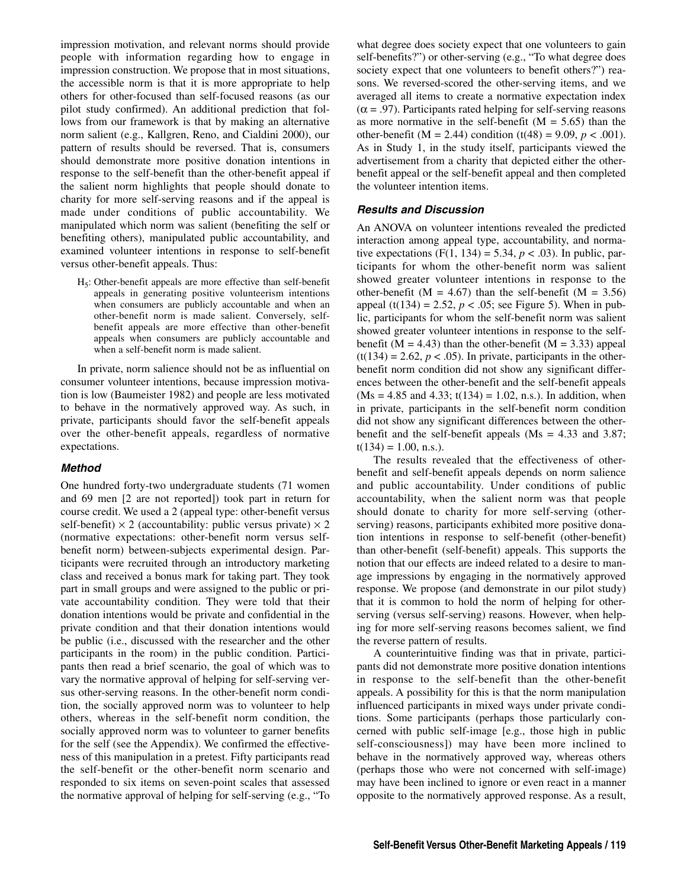impression motivation, and relevant norms should provide people with information regarding how to engage in impression construction. We propose that in most situations, the accessible norm is that it is more appropriate to help others for other-focused than self-focused reasons (as our pilot study confirmed). An additional prediction that follows from our framework is that by making an alternative norm salient (e.g., Kallgren, Reno, and Cialdini 2000), our pattern of results should be reversed. That is, consumers should demonstrate more positive donation intentions in response to the self-benefit than the other-benefit appeal if the salient norm highlights that people should donate to charity for more self-serving reasons and if the appeal is made under conditions of public accountability. We manipulated which norm was salient (benefiting the self or benefiting others), manipulated public accountability, and examined volunteer intentions in response to self-benefit versus other-benefit appeals. Thus:

H5: Other-benefit appeals are more effective than self-benefit appeals in generating positive volunteerism intentions when consumers are publicly accountable and when an other-benefit norm is made salient. Conversely, selfbenefit appeals are more effective than other-benefit appeals when consumers are publicly accountable and when a self-benefit norm is made salient.

In private, norm salience should not be as influential on consumer volunteer intentions, because impression motivation is low (Baumeister 1982) and people are less motivated to behave in the normatively approved way. As such, in private, participants should favor the self-benefit appeals over the other-benefit appeals, regardless of normative expectations.

#### **Method**

One hundred forty-two undergraduate students (71 women and 69 men [2 are not reported]) took part in return for course credit. We used a 2 (appeal type: other-benefit versus self-benefit)  $\times$  2 (accountability: public versus private)  $\times$  2 (normative expectations: other-benefit norm versus selfbenefit norm) between-subjects experimental design. Participants were recruited through an introductory marketing class and received a bonus mark for taking part. They took part in small groups and were assigned to the public or private accountability condition. They were told that their donation intentions would be private and confidential in the private condition and that their donation intentions would be public (i.e., discussed with the researcher and the other participants in the room) in the public condition. Participants then read a brief scenario, the goal of which was to vary the normative approval of helping for self-serving versus other-serving reasons. In the other-benefit norm condition, the socially approved norm was to volunteer to help others, whereas in the self-benefit norm condition, the socially approved norm was to volunteer to garner benefits for the self (see the Appendix). We confirmed the effectiveness of this manipulation in a pretest. Fifty participants read the self-benefit or the other-benefit norm scenario and responded to six items on seven-point scales that assessed the normative approval of helping for self-serving (e.g., "To

what degree does society expect that one volunteers to gain self-benefits?") or other-serving (e.g., "To what degree does society expect that one volunteers to benefit others?") reasons. We reversed-scored the other-serving items, and we averaged all items to create a normative expectation index  $(\alpha = .97)$ . Participants rated helping for self-serving reasons as more normative in the self-benefit  $(M = 5.65)$  than the other-benefit ( $M = 2.44$ ) condition (t(48) = 9.09,  $p < .001$ ). As in Study 1, in the study itself, participants viewed the advertisement from a charity that depicted either the otherbenefit appeal or the self-benefit appeal and then completed the volunteer intention items.

#### **Results and Discussion**

An ANOVA on volunteer intentions revealed the predicted interaction among appeal type, accountability, and normative expectations  $(F(1, 134) = 5.34, p < .03)$ . In public, participants for whom the other-benefit norm was salient showed greater volunteer intentions in response to the other-benefit ( $M = 4.67$ ) than the self-benefit ( $M = 3.56$ ) appeal (t(134) = 2.52,  $p < .05$ ; see Figure 5). When in public, participants for whom the self-benefit norm was salient showed greater volunteer intentions in response to the selfbenefit ( $M = 4.43$ ) than the other-benefit ( $M = 3.33$ ) appeal  $(t(134) = 2.62, p < .05)$ . In private, participants in the otherbenefit norm condition did not show any significant differences between the other-benefit and the self-benefit appeals  $(Ms = 4.85$  and  $4.33$ ;  $t(134) = 1.02$ , n.s.). In addition, when in private, participants in the self-benefit norm condition did not show any significant differences between the otherbenefit and the self-benefit appeals ( $Ms = 4.33$  and 3.87;  $t(134) = 1.00$ , n.s.).

The results revealed that the effectiveness of otherbenefit and self-benefit appeals depends on norm salience and public accountability. Under conditions of public accountability, when the salient norm was that people should donate to charity for more self-serving (otherserving) reasons, participants exhibited more positive donation intentions in response to self-benefit (other-benefit) than other-benefit (self-benefit) appeals. This supports the notion that our effects are indeed related to a desire to manage impressions by engaging in the normatively approved response. We propose (and demonstrate in our pilot study) that it is common to hold the norm of helping for otherserving (versus self-serving) reasons. However, when helping for more self-serving reasons becomes salient, we find the reverse pattern of results.

A counterintuitive finding was that in private, participants did not demonstrate more positive donation intentions in response to the self-benefit than the other-benefit appeals. A possibility for this is that the norm manipulation influenced participants in mixed ways under private conditions. Some participants (perhaps those particularly concerned with public self-image [e.g., those high in public self-consciousness]) may have been more inclined to behave in the normatively approved way, whereas others (perhaps those who were not concerned with self-image) may have been inclined to ignore or even react in a manner opposite to the normatively approved response. As a result,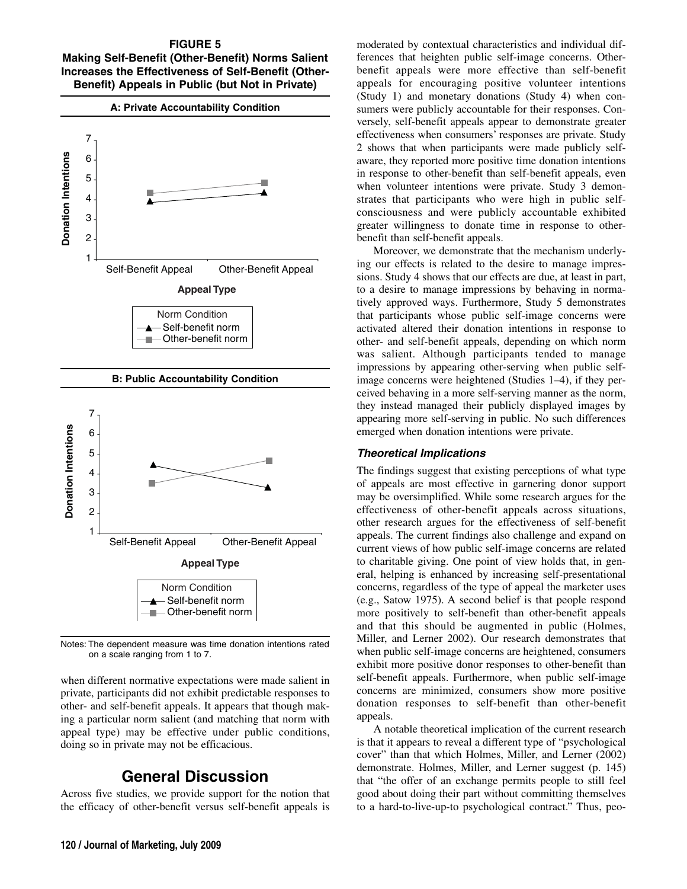#### **FIGURE 5 Making Self-Benefit (Other-Benefit) Norms Salient Increases the Effectiveness of Self-Benefit (Other-Benefit) Appeals in Public (but Not in Private)**



Notes: The dependent measure was time donation intentions rated on a scale ranging from 1 to 7.

when different normative expectations were made salient in private, participants did not exhibit predictable responses to other- and self-benefit appeals. It appears that though making a particular norm salient (and matching that norm with appeal type) may be effective under public conditions, doing so in private may not be efficacious.

# **General Discussion**

Across five studies, we provide support for the notion that the efficacy of other-benefit versus self-benefit appeals is

moderated by contextual characteristics and individual differences that heighten public self-image concerns. Otherbenefit appeals were more effective than self-benefit appeals for encouraging positive volunteer intentions (Study 1) and monetary donations (Study 4) when consumers were publicly accountable for their responses. Conversely, self-benefit appeals appear to demonstrate greater effectiveness when consumers' responses are private. Study 2 shows that when participants were made publicly selfaware, they reported more positive time donation intentions in response to other-benefit than self-benefit appeals, even when volunteer intentions were private. Study 3 demonstrates that participants who were high in public selfconsciousness and were publicly accountable exhibited greater willingness to donate time in response to otherbenefit than self-benefit appeals.

Moreover, we demonstrate that the mechanism underlying our effects is related to the desire to manage impressions. Study 4 shows that our effects are due, at least in part, to a desire to manage impressions by behaving in normatively approved ways. Furthermore, Study 5 demonstrates that participants whose public self-image concerns were activated altered their donation intentions in response to other- and self-benefit appeals, depending on which norm was salient. Although participants tended to manage impressions by appearing other-serving when public selfimage concerns were heightened (Studies 1–4), if they perceived behaving in a more self-serving manner as the norm, they instead managed their publicly displayed images by appearing more self-serving in public. No such differences emerged when donation intentions were private.

#### **Theoretical Implications**

The findings suggest that existing perceptions of what type of appeals are most effective in garnering donor support may be oversimplified. While some research argues for the effectiveness of other-benefit appeals across situations, other research argues for the effectiveness of self-benefit appeals. The current findings also challenge and expand on current views of how public self-image concerns are related to charitable giving. One point of view holds that, in general, helping is enhanced by increasing self-presentational concerns, regardless of the type of appeal the marketer uses (e.g., Satow 1975). A second belief is that people respond more positively to self-benefit than other-benefit appeals and that this should be augmented in public (Holmes, Miller, and Lerner 2002). Our research demonstrates that when public self-image concerns are heightened, consumers exhibit more positive donor responses to other-benefit than self-benefit appeals. Furthermore, when public self-image concerns are minimized, consumers show more positive donation responses to self-benefit than other-benefit appeals.

A notable theoretical implication of the current research is that it appears to reveal a different type of "psychological cover" than that which Holmes, Miller, and Lerner (2002) demonstrate. Holmes, Miller, and Lerner suggest (p. 145) that "the offer of an exchange permits people to still feel good about doing their part without committing themselves to a hard-to-live-up-to psychological contract." Thus, peo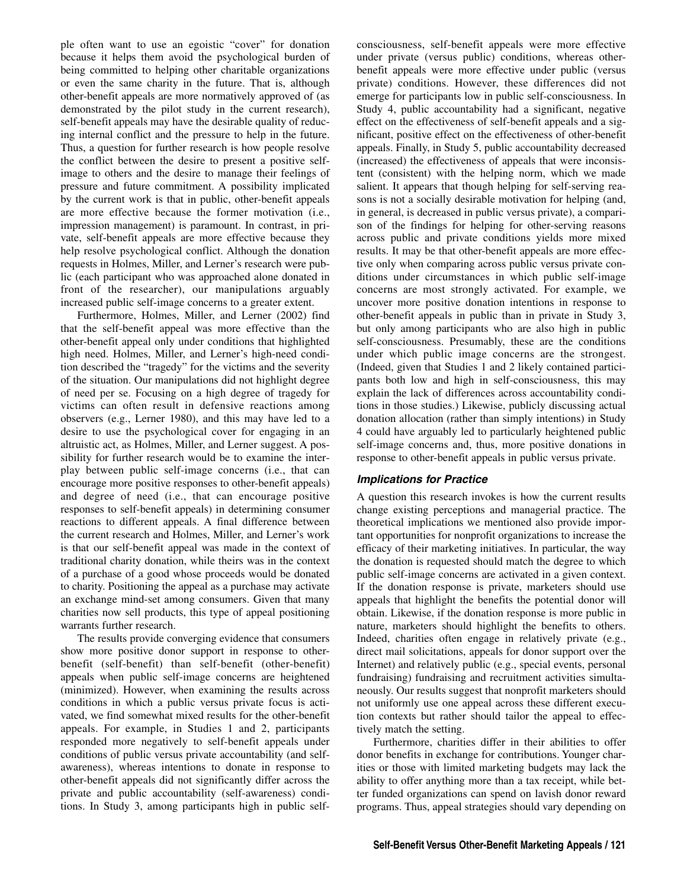ple often want to use an egoistic "cover" for donation because it helps them avoid the psychological burden of being committed to helping other charitable organizations or even the same charity in the future. That is, although other-benefit appeals are more normatively approved of (as demonstrated by the pilot study in the current research), self-benefit appeals may have the desirable quality of reducing internal conflict and the pressure to help in the future. Thus, a question for further research is how people resolve the conflict between the desire to present a positive selfimage to others and the desire to manage their feelings of pressure and future commitment. A possibility implicated by the current work is that in public, other-benefit appeals are more effective because the former motivation (i.e., impression management) is paramount. In contrast, in private, self-benefit appeals are more effective because they help resolve psychological conflict. Although the donation requests in Holmes, Miller, and Lerner's research were public (each participant who was approached alone donated in front of the researcher), our manipulations arguably increased public self-image concerns to a greater extent.

Furthermore, Holmes, Miller, and Lerner (2002) find that the self-benefit appeal was more effective than the other-benefit appeal only under conditions that highlighted high need. Holmes, Miller, and Lerner's high-need condition described the "tragedy" for the victims and the severity of the situation. Our manipulations did not highlight degree of need per se. Focusing on a high degree of tragedy for victims can often result in defensive reactions among observers (e.g., Lerner 1980), and this may have led to a desire to use the psychological cover for engaging in an altruistic act, as Holmes, Miller, and Lerner suggest. A possibility for further research would be to examine the interplay between public self-image concerns (i.e., that can encourage more positive responses to other-benefit appeals) and degree of need (i.e., that can encourage positive responses to self-benefit appeals) in determining consumer reactions to different appeals. A final difference between the current research and Holmes, Miller, and Lerner's work is that our self-benefit appeal was made in the context of traditional charity donation, while theirs was in the context of a purchase of a good whose proceeds would be donated to charity. Positioning the appeal as a purchase may activate an exchange mind-set among consumers. Given that many charities now sell products, this type of appeal positioning warrants further research.

The results provide converging evidence that consumers show more positive donor support in response to otherbenefit (self-benefit) than self-benefit (other-benefit) appeals when public self-image concerns are heightened (minimized). However, when examining the results across conditions in which a public versus private focus is activated, we find somewhat mixed results for the other-benefit appeals. For example, in Studies 1 and 2, participants responded more negatively to self-benefit appeals under conditions of public versus private accountability (and selfawareness), whereas intentions to donate in response to other-benefit appeals did not significantly differ across the private and public accountability (self-awareness) conditions. In Study 3, among participants high in public selfconsciousness, self-benefit appeals were more effective under private (versus public) conditions, whereas otherbenefit appeals were more effective under public (versus private) conditions. However, these differences did not emerge for participants low in public self-consciousness. In Study 4, public accountability had a significant, negative effect on the effectiveness of self-benefit appeals and a significant, positive effect on the effectiveness of other-benefit appeals. Finally, in Study 5, public accountability decreased (increased) the effectiveness of appeals that were inconsistent (consistent) with the helping norm, which we made salient. It appears that though helping for self-serving reasons is not a socially desirable motivation for helping (and, in general, is decreased in public versus private), a comparison of the findings for helping for other-serving reasons across public and private conditions yields more mixed results. It may be that other-benefit appeals are more effective only when comparing across public versus private conditions under circumstances in which public self-image concerns are most strongly activated. For example, we uncover more positive donation intentions in response to other-benefit appeals in public than in private in Study 3, but only among participants who are also high in public self-consciousness. Presumably, these are the conditions under which public image concerns are the strongest. (Indeed, given that Studies 1 and 2 likely contained participants both low and high in self-consciousness, this may explain the lack of differences across accountability conditions in those studies.) Likewise, publicly discussing actual donation allocation (rather than simply intentions) in Study 4 could have arguably led to particularly heightened public self-image concerns and, thus, more positive donations in response to other-benefit appeals in public versus private.

## **Implications for Practice**

A question this research invokes is how the current results change existing perceptions and managerial practice. The theoretical implications we mentioned also provide important opportunities for nonprofit organizations to increase the efficacy of their marketing initiatives. In particular, the way the donation is requested should match the degree to which public self-image concerns are activated in a given context. If the donation response is private, marketers should use appeals that highlight the benefits the potential donor will obtain. Likewise, if the donation response is more public in nature, marketers should highlight the benefits to others. Indeed, charities often engage in relatively private (e.g., direct mail solicitations, appeals for donor support over the Internet) and relatively public (e.g., special events, personal fundraising) fundraising and recruitment activities simultaneously. Our results suggest that nonprofit marketers should not uniformly use one appeal across these different execution contexts but rather should tailor the appeal to effectively match the setting.

Furthermore, charities differ in their abilities to offer donor benefits in exchange for contributions. Younger charities or those with limited marketing budgets may lack the ability to offer anything more than a tax receipt, while better funded organizations can spend on lavish donor reward programs. Thus, appeal strategies should vary depending on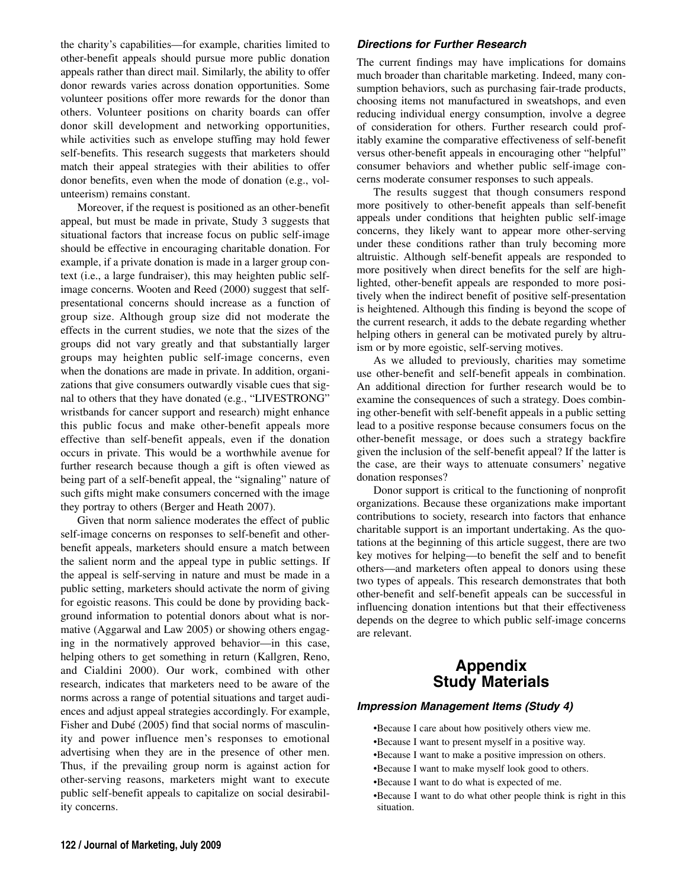the charity's capabilities—for example, charities limited to other-benefit appeals should pursue more public donation appeals rather than direct mail. Similarly, the ability to offer donor rewards varies across donation opportunities. Some volunteer positions offer more rewards for the donor than others. Volunteer positions on charity boards can offer donor skill development and networking opportunities, while activities such as envelope stuffing may hold fewer self-benefits. This research suggests that marketers should match their appeal strategies with their abilities to offer donor benefits, even when the mode of donation (e.g., volunteerism) remains constant.

Moreover, if the request is positioned as an other-benefit appeal, but must be made in private, Study 3 suggests that situational factors that increase focus on public self-image should be effective in encouraging charitable donation. For example, if a private donation is made in a larger group context (i.e., a large fundraiser), this may heighten public selfimage concerns. Wooten and Reed (2000) suggest that selfpresentational concerns should increase as a function of group size. Although group size did not moderate the effects in the current studies, we note that the sizes of the groups did not vary greatly and that substantially larger groups may heighten public self-image concerns, even when the donations are made in private. In addition, organizations that give consumers outwardly visable cues that signal to others that they have donated (e.g., "LIVESTRONG" wristbands for cancer support and research) might enhance this public focus and make other-benefit appeals more effective than self-benefit appeals, even if the donation occurs in private. This would be a worthwhile avenue for further research because though a gift is often viewed as being part of a self-benefit appeal, the "signaling" nature of such gifts might make consumers concerned with the image they portray to others (Berger and Heath 2007).

Given that norm salience moderates the effect of public self-image concerns on responses to self-benefit and otherbenefit appeals, marketers should ensure a match between the salient norm and the appeal type in public settings. If the appeal is self-serving in nature and must be made in a public setting, marketers should activate the norm of giving for egoistic reasons. This could be done by providing background information to potential donors about what is normative (Aggarwal and Law 2005) or showing others engaging in the normatively approved behavior—in this case, helping others to get something in return (Kallgren, Reno, and Cialdini 2000). Our work, combined with other research, indicates that marketers need to be aware of the norms across a range of potential situations and target audiences and adjust appeal strategies accordingly. For example, Fisher and Dubé (2005) find that social norms of masculinity and power influence men's responses to emotional advertising when they are in the presence of other men. Thus, if the prevailing group norm is against action for other-serving reasons, marketers might want to execute public self-benefit appeals to capitalize on social desirability concerns.

#### **Directions for Further Research**

The current findings may have implications for domains much broader than charitable marketing. Indeed, many consumption behaviors, such as purchasing fair-trade products, choosing items not manufactured in sweatshops, and even reducing individual energy consumption, involve a degree of consideration for others. Further research could profitably examine the comparative effectiveness of self-benefit versus other-benefit appeals in encouraging other "helpful" consumer behaviors and whether public self-image concerns moderate consumer responses to such appeals.

The results suggest that though consumers respond more positively to other-benefit appeals than self-benefit appeals under conditions that heighten public self-image concerns, they likely want to appear more other-serving under these conditions rather than truly becoming more altruistic. Although self-benefit appeals are responded to more positively when direct benefits for the self are highlighted, other-benefit appeals are responded to more positively when the indirect benefit of positive self-presentation is heightened. Although this finding is beyond the scope of the current research, it adds to the debate regarding whether helping others in general can be motivated purely by altruism or by more egoistic, self-serving motives.

As we alluded to previously, charities may sometime use other-benefit and self-benefit appeals in combination. An additional direction for further research would be to examine the consequences of such a strategy. Does combining other-benefit with self-benefit appeals in a public setting lead to a positive response because consumers focus on the other-benefit message, or does such a strategy backfire given the inclusion of the self-benefit appeal? If the latter is the case, are their ways to attenuate consumers' negative donation responses?

Donor support is critical to the functioning of nonprofit organizations. Because these organizations make important contributions to society, research into factors that enhance charitable support is an important undertaking. As the quotations at the beginning of this article suggest, there are two key motives for helping—to benefit the self and to benefit others—and marketers often appeal to donors using these two types of appeals. This research demonstrates that both other-benefit and self-benefit appeals can be successful in influencing donation intentions but that their effectiveness depends on the degree to which public self-image concerns are relevant.

## **Appendix Study Materials**

#### **Impression Management Items (Study 4)**

- •Because I care about how positively others view me.
- •Because I want to present myself in a positive way.
- •Because I want to make a positive impression on others.
- •Because I want to make myself look good to others.
- •Because I want to do what is expected of me.
- •Because I want to do what other people think is right in this situation.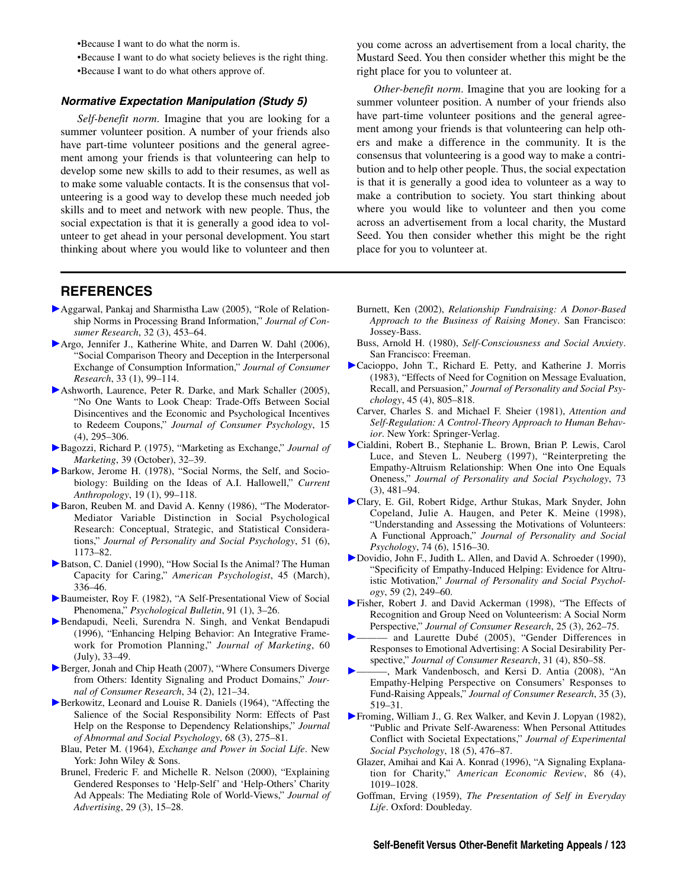•Because I want to do what the norm is.

•Because I want to do what society believes is the right thing.

•Because I want to do what others approve of.

#### **Normative Expectation Manipulation (Study 5)**

*Self-benefit norm*. Imagine that you are looking for a summer volunteer position. A number of your friends also have part-time volunteer positions and the general agreement among your friends is that volunteering can help to develop some new skills to add to their resumes, as well as to make some valuable contacts. It is the consensus that volunteering is a good way to develop these much needed job skills and to meet and network with new people. Thus, the social expectation is that it is generally a good idea to volunteer to get ahead in your personal development. You start thinking about where you would like to volunteer and then

**REFERENCES**

- Aggarwal, Pankaj and Sharmistha Law (2005), "Role of Relationship Norms in Processing Brand Information," *Journal of Consumer Research*, 32 (3), 453–64.
- Argo, Jennifer J., Katherine White, and Darren W. Dahl (2006), "Social Comparison Theory and Deception in the Interpersonal Exchange of Consumption Information," *Journal of Consumer Research*, 33 (1), 99–114.
- Ashworth, Laurence, Peter R. Darke, and Mark Schaller (2005), "No One Wants to Look Cheap: Trade-Offs Between Social Disincentives and the Economic and Psychological Incentives to Redeem Coupons," *Journal of Consumer Psychology*, 15 (4), 295–306.
- Bagozzi, Richard P. (1975), "Marketing as Exchange," *Journal of Marketing*, 39 (October), 32–39.
- Barkow, Jerome H. (1978), "Social Norms, the Self, and Sociobiology: Building on the Ideas of A.I. Hallowell," *Current Anthropology*, 19 (1), 99–118.
- Baron, Reuben M. and David A. Kenny (1986), "The Moderator-Mediator Variable Distinction in Social Psychological Research: Conceptual, Strategic, and Statistical Considerations," *Journal of Personality and Social Psychology*, 51 (6), 1173–82.
- Batson, C. Daniel (1990), "How Social Is the Animal? The Human Capacity for Caring," *American Psychologist*, 45 (March), 336–46.
- Baumeister, Roy F. (1982), "A Self-Presentational View of Social Phenomena," *Psychological Bulletin*, 91 (1), 3–26.
- Bendapudi, Neeli, Surendra N. Singh, and Venkat Bendapudi (1996), "Enhancing Helping Behavior: An Integrative Framework for Promotion Planning," *Journal of Marketing*, 60 (July), 33–49.
- Berger, Jonah and Chip Heath (2007), "Where Consumers Diverge from Others: Identity Signaling and Product Domains," *Journal of Consumer Research*, 34 (2), 121–34.
- Berkowitz, Leonard and Louise R. Daniels (1964), "Affecting the Salience of the Social Responsibility Norm: Effects of Past Help on the Response to Dependency Relationships," *Journal of Abnormal and Social Psychology*, 68 (3), 275–81.
	- Blau, Peter M. (1964), *Exchange and Power in Social Life*. New York: John Wiley & Sons.
	- Brunel, Frederic F. and Michelle R. Nelson (2000), "Explaining Gendered Responses to 'Help-Self' and 'Help-Others' Charity Ad Appeals: The Mediating Role of World-Views," *Journal of Advertising*, 29 (3), 15–28.

you come across an advertisement from a local charity, the Mustard Seed. You then consider whether this might be the right place for you to volunteer at.

*Other-benefit norm*. Imagine that you are looking for a summer volunteer position. A number of your friends also have part-time volunteer positions and the general agreement among your friends is that volunteering can help others and make a difference in the community. It is the consensus that volunteering is a good way to make a contribution and to help other people. Thus, the social expectation is that it is generally a good idea to volunteer as a way to make a contribution to society. You start thinking about where you would like to volunteer and then you come across an advertisement from a local charity, the Mustard Seed. You then consider whether this might be the right place for you to volunteer at.

- Burnett, Ken (2002), *Relationship Fundraising: A Donor-Based Approach to the Business of Raising Money*. San Francisco: Jossey-Bass.
- Buss, Arnold H. (1980), *Self-Consciousness and Social Anxiety*. San Francisco: Freeman.
- Cacioppo, John T., Richard E. Petty, and Katherine J. Morris (1983), "Effects of Need for Cognition on Message Evaluation, Recall, and Persuasion," *Journal of Personality and Social Psychology*, 45 (4), 805–818.
- Carver, Charles S. and Michael F. Sheier (1981), *Attention and Self-Regulation: A Control-Theory Approach to Human Behavior*. New York: Springer-Verlag.
- Cialdini, Robert B., Stephanie L. Brown, Brian P. Lewis, Carol Luce, and Steven L. Neuberg (1997), "Reinterpreting the Empathy-Altruism Relationship: When One into One Equals Oneness," *Journal of Personality and Social Psychology*, 73 (3), 481–94.
- Clary, E. Gil, Robert Ridge, Arthur Stukas, Mark Snyder, John Copeland, Julie A. Haugen, and Peter K. Meine (1998), "Understanding and Assessing the Motivations of Volunteers: A Functional Approach," *Journal of Personality and Social Psychology*, 74 (6), 1516–30.
- Dovidio, John F., Judith L. Allen, and David A. Schroeder (1990), "Specificity of Empathy-Induced Helping: Evidence for Altruistic Motivation," *Journal of Personality and Social Psychology*, 59 (2), 249–60.
- Fisher, Robert J. and David Ackerman (1998), "The Effects of Recognition and Group Need on Volunteerism: A Social Norm Perspective," *Journal of Consumer Research*, 25 (3), 262–75.
- and Laurette Dubé (2005), "Gender Differences in Responses to Emotional Advertising: A Social Desirability Perspective," *Journal of Consumer Research*, 31 (4), 850–58.
- ———, Mark Vandenbosch, and Kersi D. Antia (2008), "An Empathy-Helping Perspective on Consumers' Responses to Fund-Raising Appeals," *Journal of Consumer Research*, 35 (3), 519–31.
- Froming, William J., G. Rex Walker, and Kevin J. Lopyan (1982), "Public and Private Self-Awareness: When Personal Attitudes Conflict with Societal Expectations," *Journal of Experimental Social Psychology*, 18 (5), 476–87.
	- Glazer, Amihai and Kai A. Konrad (1996), "A Signaling Explanation for Charity," *American Economic Review*, 86 (4), 1019–1028.
	- Goffman, Erving (1959), *The Presentation of Self in Everyday Life*. Oxford: Doubleday.